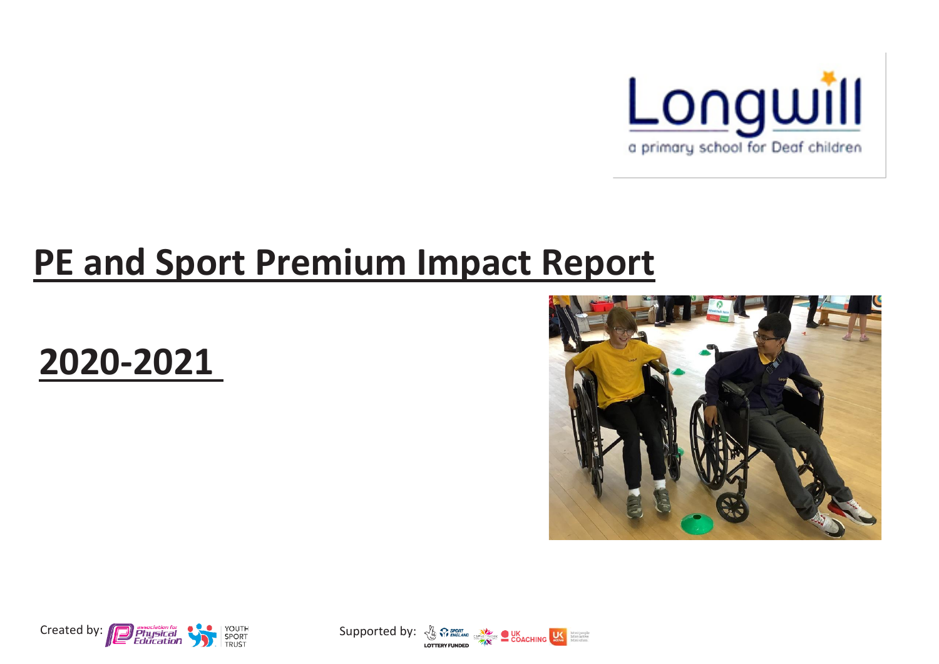

## **PE and Sport Premium Impact Report**







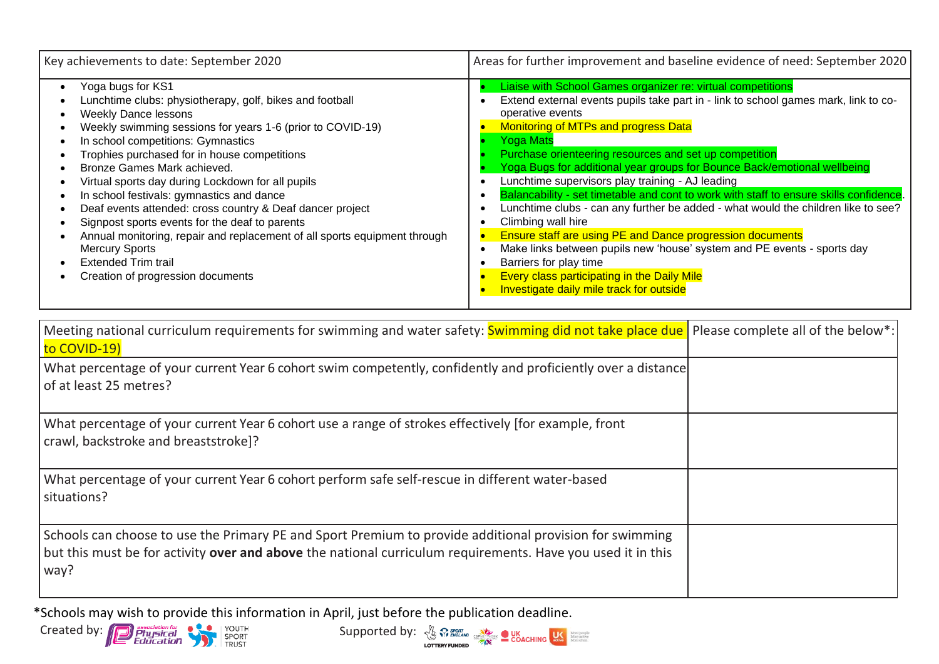| Key achievements to date: September 2020                                                                                                                                                                                                                                                                                                                                                                                                                                                                                                                                                                                                                                                  | Areas for further improvement and baseline evidence of need: September 2020                                                                                                                                                                                                                                                                                                                                                                                                                                                                                                                                                                                                                                                                                                                                                                                                                                  |
|-------------------------------------------------------------------------------------------------------------------------------------------------------------------------------------------------------------------------------------------------------------------------------------------------------------------------------------------------------------------------------------------------------------------------------------------------------------------------------------------------------------------------------------------------------------------------------------------------------------------------------------------------------------------------------------------|--------------------------------------------------------------------------------------------------------------------------------------------------------------------------------------------------------------------------------------------------------------------------------------------------------------------------------------------------------------------------------------------------------------------------------------------------------------------------------------------------------------------------------------------------------------------------------------------------------------------------------------------------------------------------------------------------------------------------------------------------------------------------------------------------------------------------------------------------------------------------------------------------------------|
| Yoga bugs for KS1<br>Lunchtime clubs: physiotherapy, golf, bikes and football<br><b>Weekly Dance lessons</b><br>Weekly swimming sessions for years 1-6 (prior to COVID-19)<br>In school competitions: Gymnastics<br>Trophies purchased for in house competitions<br>Bronze Games Mark achieved.<br>Virtual sports day during Lockdown for all pupils<br>In school festivals: gymnastics and dance<br>Deaf events attended: cross country & Deaf dancer project<br>Signpost sports events for the deaf to parents<br>Annual monitoring, repair and replacement of all sports equipment through<br><b>Mercury Sports</b><br><b>Extended Trim trail</b><br>Creation of progression documents | Liaise with School Games organizer re: virtual competitions<br>Extend external events pupils take part in - link to school games mark, link to co-<br>operative events<br><b>Monitoring of MTPs and progress Data</b><br><b>Yoga Mats</b><br>Purchase orienteering resources and set up competition<br>Yoga Bugs for additional year groups for Bounce Back/emotional wellbeing<br>Lunchtime supervisors play training - AJ leading<br>Balancability - set timetable and cont to work with staff to ensure skills confidence.<br>Lunchtime clubs - can any further be added - what would the children like to see?<br>Climbing wall hire<br>Ensure staff are using PE and Dance progression documents<br>Make links between pupils new 'house' system and PE events - sports day<br>Barriers for play time<br><b>Every class participating in the Daily Mile</b><br>Investigate daily mile track for outside |

| Meeting national curriculum requirements for swimming and water safety: Swimming did not take place due   Please complete all of the below <sup>*</sup> :<br>to COVID-19)                                                      |  |
|--------------------------------------------------------------------------------------------------------------------------------------------------------------------------------------------------------------------------------|--|
| What percentage of your current Year 6 cohort swim competently, confidently and proficiently over a distance<br>of at least 25 metres?                                                                                         |  |
| What percentage of your current Year 6 cohort use a range of strokes effectively (for example, front<br>crawl, backstroke and breaststroke]?                                                                                   |  |
| What percentage of your current Year 6 cohort perform safe self-rescue in different water-based<br>situations?                                                                                                                 |  |
| Schools can choose to use the Primary PE and Sport Premium to provide additional provision for swimming<br>but this must be for activity over and above the national curriculum requirements. Have you used it in this<br>way? |  |

\*Schools may wish to provide this information in April, just before the publication deadline.



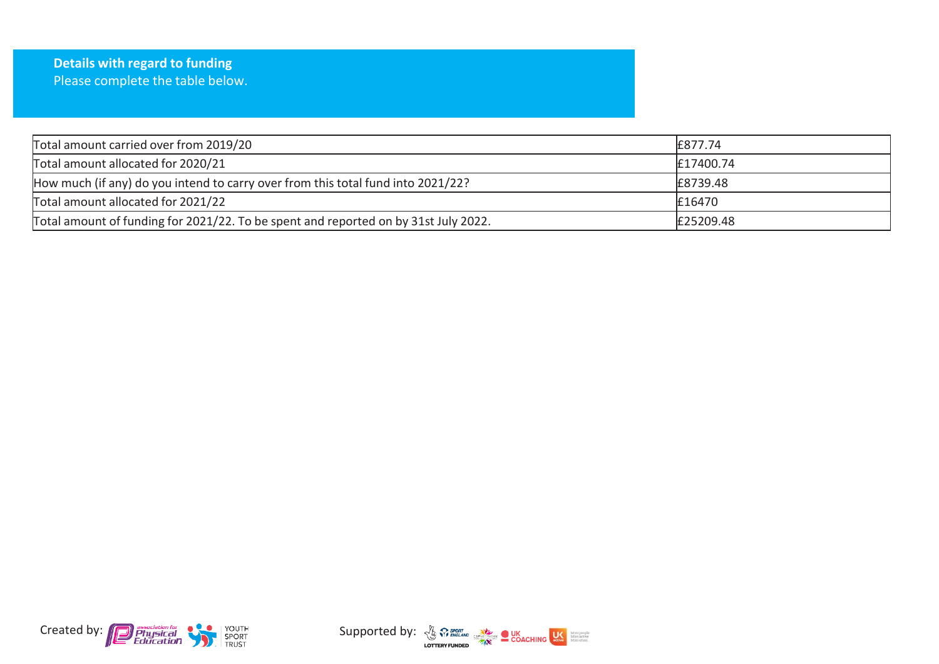| <b>Details with regard to funding</b> |
|---------------------------------------|
| Please complete the table below.      |

| Total amount carried over from 2019/20                                              | £877.74   |
|-------------------------------------------------------------------------------------|-----------|
| Total amount allocated for 2020/21                                                  | £17400.74 |
| How much (if any) do you intend to carry over from this total fund into 2021/22?    | £8739.48  |
| Total amount allocated for 2021/22                                                  | £16470    |
| Total amount of funding for 2021/22. To be spent and reported on by 31st July 2022. | £25209.48 |



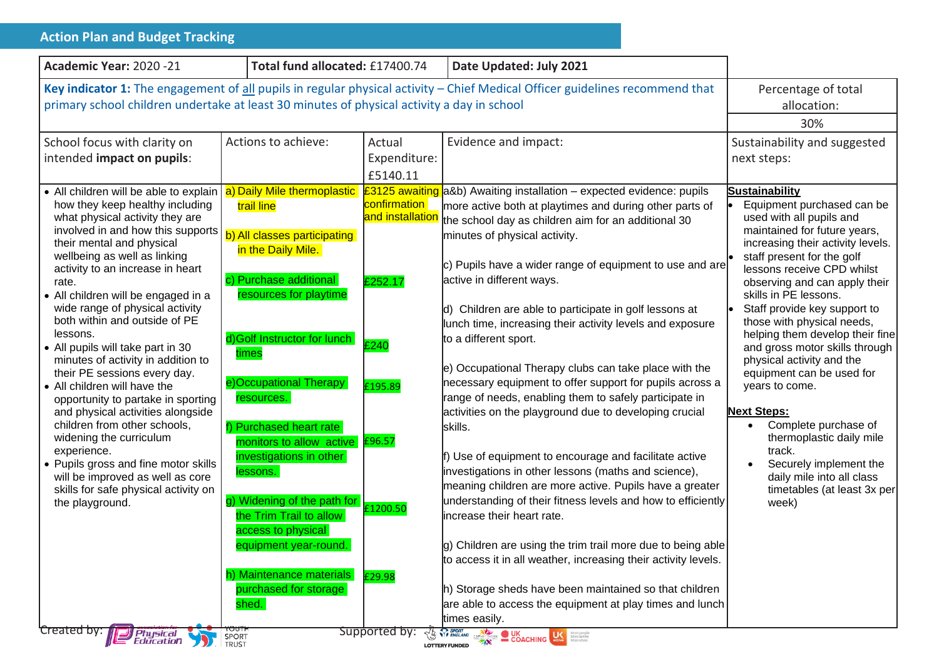| <b>Action Plan and Budget Tracking</b>                                                                                                                                                                                                                                                                                                                                                                                                                                                                                                                                                                                                                                                                                                                                                                                      |                                                                                                                                                                                                                                                                                                                                                                                                                                                                                                                  |                                                                                      |                                                                                                                                                                                                                                                                                                                                                                                                                                                                                                                                                                                                                                                                                                                                                                                                                                                                                                                                                                                                                                                                                                                                                                                                                                                                                     |                                                                                                                                                                                                                                                                                                                                                                                                                                                                                                                                                                                                                                                                                           |
|-----------------------------------------------------------------------------------------------------------------------------------------------------------------------------------------------------------------------------------------------------------------------------------------------------------------------------------------------------------------------------------------------------------------------------------------------------------------------------------------------------------------------------------------------------------------------------------------------------------------------------------------------------------------------------------------------------------------------------------------------------------------------------------------------------------------------------|------------------------------------------------------------------------------------------------------------------------------------------------------------------------------------------------------------------------------------------------------------------------------------------------------------------------------------------------------------------------------------------------------------------------------------------------------------------------------------------------------------------|--------------------------------------------------------------------------------------|-------------------------------------------------------------------------------------------------------------------------------------------------------------------------------------------------------------------------------------------------------------------------------------------------------------------------------------------------------------------------------------------------------------------------------------------------------------------------------------------------------------------------------------------------------------------------------------------------------------------------------------------------------------------------------------------------------------------------------------------------------------------------------------------------------------------------------------------------------------------------------------------------------------------------------------------------------------------------------------------------------------------------------------------------------------------------------------------------------------------------------------------------------------------------------------------------------------------------------------------------------------------------------------|-------------------------------------------------------------------------------------------------------------------------------------------------------------------------------------------------------------------------------------------------------------------------------------------------------------------------------------------------------------------------------------------------------------------------------------------------------------------------------------------------------------------------------------------------------------------------------------------------------------------------------------------------------------------------------------------|
| Academic Year: 2020 -21                                                                                                                                                                                                                                                                                                                                                                                                                                                                                                                                                                                                                                                                                                                                                                                                     | Total fund allocated: £17400.74                                                                                                                                                                                                                                                                                                                                                                                                                                                                                  |                                                                                      | Date Updated: July 2021                                                                                                                                                                                                                                                                                                                                                                                                                                                                                                                                                                                                                                                                                                                                                                                                                                                                                                                                                                                                                                                                                                                                                                                                                                                             |                                                                                                                                                                                                                                                                                                                                                                                                                                                                                                                                                                                                                                                                                           |
| Key indicator 1: The engagement of all pupils in regular physical activity - Chief Medical Officer guidelines recommend that<br>primary school children undertake at least 30 minutes of physical activity a day in school                                                                                                                                                                                                                                                                                                                                                                                                                                                                                                                                                                                                  |                                                                                                                                                                                                                                                                                                                                                                                                                                                                                                                  |                                                                                      | Percentage of total<br>allocation:<br>30%                                                                                                                                                                                                                                                                                                                                                                                                                                                                                                                                                                                                                                                                                                                                                                                                                                                                                                                                                                                                                                                                                                                                                                                                                                           |                                                                                                                                                                                                                                                                                                                                                                                                                                                                                                                                                                                                                                                                                           |
| School focus with clarity on<br>intended impact on pupils:                                                                                                                                                                                                                                                                                                                                                                                                                                                                                                                                                                                                                                                                                                                                                                  | Actions to achieve:                                                                                                                                                                                                                                                                                                                                                                                                                                                                                              | Actual<br>Expenditure:<br>£5140.11                                                   | Evidence and impact:                                                                                                                                                                                                                                                                                                                                                                                                                                                                                                                                                                                                                                                                                                                                                                                                                                                                                                                                                                                                                                                                                                                                                                                                                                                                | Sustainability and suggested<br>next steps:                                                                                                                                                                                                                                                                                                                                                                                                                                                                                                                                                                                                                                               |
| • All children will be able to explain  <br>how they keep healthy including<br>what physical activity they are<br>involved in and how this supports<br>their mental and physical<br>wellbeing as well as linking<br>activity to an increase in heart<br>rate.<br>• All children will be engaged in a<br>wide range of physical activity<br>both within and outside of PE<br>lessons.<br>• All pupils will take part in 30<br>minutes of activity in addition to<br>their PE sessions every day.<br>• All children will have the<br>opportunity to partake in sporting<br>and physical activities alongside<br>children from other schools,<br>widening the curriculum<br>experience.<br>• Pupils gross and fine motor skills<br>will be improved as well as core<br>skills for safe physical activity on<br>the playground. | a) Daily Mile thermoplastic<br>trail line<br>b) All classes participating<br>in the Daily Mile.<br>c) Purchase additional<br>resources for playtime<br>d) Golf Instructor for lunch<br>times<br>e)Occupational Therapy<br>resources.<br>f) Purchased heart rate<br>monitors to allow active £96.57<br>investigations in other<br>lessons.<br>g) Widening of the path for<br>the Trim Trail to allow<br>access to physical<br>equipment year-round.<br>h) Maintenance materials<br>purchased for storage<br>shed. | confirmation<br>and installation<br>£252.17<br>£240<br>£195.89<br>£1200.50<br>£29.98 | £3125 awaiting a&b) Awaiting installation - expected evidence: pupils<br>more active both at playtimes and during other parts of<br>the school day as children aim for an additional 30<br>minutes of physical activity.<br>c) Pupils have a wider range of equipment to use and are<br>active in different ways.<br>d) Children are able to participate in golf lessons at<br>lunch time, increasing their activity levels and exposure<br>to a different sport.<br>e) Occupational Therapy clubs can take place with the<br>necessary equipment to offer support for pupils across a<br>range of needs, enabling them to safely participate in<br>activities on the playground due to developing crucial<br>skills.<br>$\mathsf f$ ) Use of equipment to encourage and facilitate active<br>investigations in other lessons (maths and science),<br>meaning children are more active. Pupils have a greater<br>understanding of their fitness levels and how to efficiently<br>increase their heart rate.<br>g) Children are using the trim trail more due to being able<br>to access it in all weather, increasing their activity levels.<br>h) Storage sheds have been maintained so that children<br>are able to access the equipment at play times and lunch<br>times easily. | <b>Sustainability</b><br>Equipment purchased can be<br>used with all pupils and<br>maintained for future years,<br>increasing their activity levels.<br>staff present for the golf<br>lessons receive CPD whilst<br>observing and can apply their<br>skills in PE lessons.<br>Staff provide key support to<br>those with physical needs,<br>helping them develop their fine<br>and gross motor skills through<br>physical activity and the<br>equipment can be used for<br>years to come.<br><b>Next Steps:</b><br>Complete purchase of<br>$\bullet$<br>thermoplastic daily mile<br>track.<br>Securely implement the<br>daily mile into all class<br>timetables (at least 3x per<br>week) |
| Created by:<br><b>Physical</b><br>Education                                                                                                                                                                                                                                                                                                                                                                                                                                                                                                                                                                                                                                                                                                                                                                                 | SPORT<br>TRUST                                                                                                                                                                                                                                                                                                                                                                                                                                                                                                   | <b>Supported by:</b>                                                                 | <b>The WEINGLAND CREATIVOR COACHING LEARN MATERIAL PROPERTY COACHING LEARN MATERIAL PROPERTY COACHING LEARN MATERIALS</b><br><b>LOTTERY FUNDED</b>                                                                                                                                                                                                                                                                                                                                                                                                                                                                                                                                                                                                                                                                                                                                                                                                                                                                                                                                                                                                                                                                                                                                  |                                                                                                                                                                                                                                                                                                                                                                                                                                                                                                                                                                                                                                                                                           |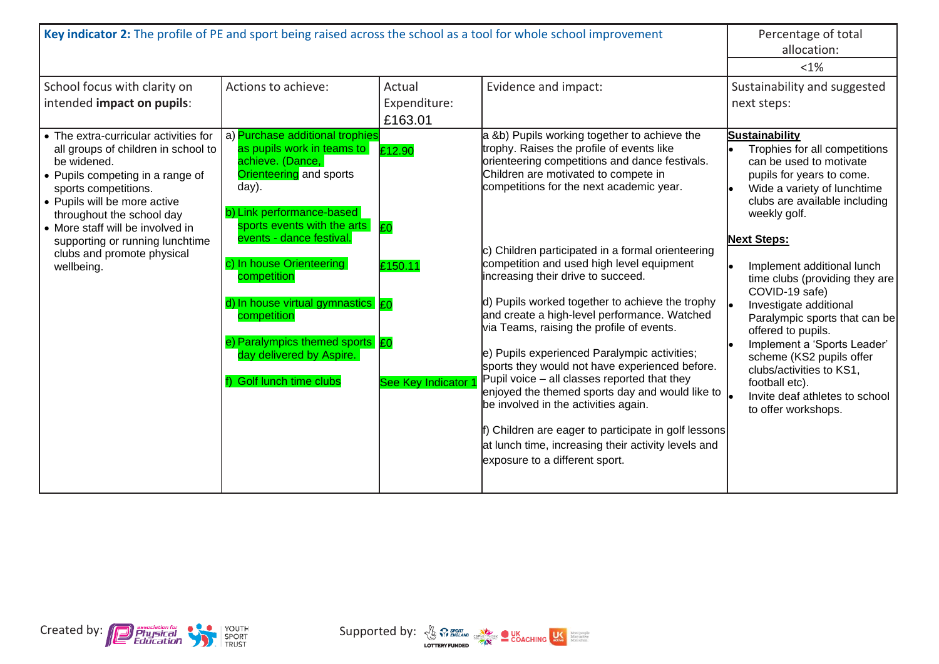| Key indicator 2: The profile of PE and sport being raised across the school as a tool for whole school improvement                                                                                                                                                                                                                      |                                                                                                                                                                                                                                                                                                                                                                                                         |                                                     |                                                                                                                                                                                                                                                                                                                                                                                                                                                                                                                                                                                                                                                                                                                                                                                                                                                                                                                                     | Percentage of total<br>allocation:                                                                                                                                                                                                                                                                                                                                                                                                                                                                                                                        |
|-----------------------------------------------------------------------------------------------------------------------------------------------------------------------------------------------------------------------------------------------------------------------------------------------------------------------------------------|---------------------------------------------------------------------------------------------------------------------------------------------------------------------------------------------------------------------------------------------------------------------------------------------------------------------------------------------------------------------------------------------------------|-----------------------------------------------------|-------------------------------------------------------------------------------------------------------------------------------------------------------------------------------------------------------------------------------------------------------------------------------------------------------------------------------------------------------------------------------------------------------------------------------------------------------------------------------------------------------------------------------------------------------------------------------------------------------------------------------------------------------------------------------------------------------------------------------------------------------------------------------------------------------------------------------------------------------------------------------------------------------------------------------------|-----------------------------------------------------------------------------------------------------------------------------------------------------------------------------------------------------------------------------------------------------------------------------------------------------------------------------------------------------------------------------------------------------------------------------------------------------------------------------------------------------------------------------------------------------------|
|                                                                                                                                                                                                                                                                                                                                         |                                                                                                                                                                                                                                                                                                                                                                                                         |                                                     |                                                                                                                                                                                                                                                                                                                                                                                                                                                                                                                                                                                                                                                                                                                                                                                                                                                                                                                                     | $< 1\%$                                                                                                                                                                                                                                                                                                                                                                                                                                                                                                                                                   |
| School focus with clarity on<br>intended impact on pupils:                                                                                                                                                                                                                                                                              | Actions to achieve:                                                                                                                                                                                                                                                                                                                                                                                     | Actual<br>Expenditure:<br>£163.01                   | Evidence and impact:                                                                                                                                                                                                                                                                                                                                                                                                                                                                                                                                                                                                                                                                                                                                                                                                                                                                                                                | Sustainability and suggested<br>next steps:                                                                                                                                                                                                                                                                                                                                                                                                                                                                                                               |
| • The extra-curricular activities for<br>all groups of children in school to<br>be widened.<br>• Pupils competing in a range of<br>sports competitions.<br>• Pupils will be more active<br>throughout the school day<br>• More staff will be involved in<br>supporting or running lunchtime<br>clubs and promote physical<br>wellbeing. | a) Purchase additional trophies<br>as pupils work in teams to<br>achieve. (Dance,<br>Orienteering and sports<br>day).<br>b) Link performance-based<br>sports events with the arts<br>events - dance festival.<br>c) In house Orienteering<br>competition<br>d) In house virtual gymnastics £0<br>competition<br>e) Paralympics themed sports £0<br>day delivered by Aspire.<br>f) Golf lunch time clubs | £12.90<br><b>EO</b><br>£150.11<br>See Key Indicator | a &b) Pupils working together to achieve the<br>trophy. Raises the profile of events like<br>orienteering competitions and dance festivals.<br>Children are motivated to compete in<br>competitions for the next academic year.<br>c) Children participated in a formal orienteering<br>competition and used high level equipment<br>increasing their drive to succeed.<br>d) Pupils worked together to achieve the trophy<br>and create a high-level performance. Watched<br>via Teams, raising the profile of events.<br>e) Pupils experienced Paralympic activities;<br>sports they would not have experienced before.<br>Pupil voice $-$ all classes reported that they<br>enjoyed the themed sports day and would like to $\parallel$<br>be involved in the activities again.<br>f) Children are eager to participate in golf lessons<br>at lunch time, increasing their activity levels and<br>exposure to a different sport. | <b>Sustainability</b><br>Trophies for all competitions<br>can be used to motivate<br>pupils for years to come.<br>Wide a variety of lunchtime<br>clubs are available including<br>weekly golf.<br><b>Next Steps:</b><br>Implement additional lunch<br>time clubs (providing they are<br>COVID-19 safe)<br>Investigate additional<br>Paralympic sports that can be<br>offered to pupils.<br>Implement a 'Sports Leader'<br>scheme (KS2 pupils offer<br>clubs/activities to KS1,<br>football etc).<br>Invite deaf athletes to school<br>to offer workshops. |



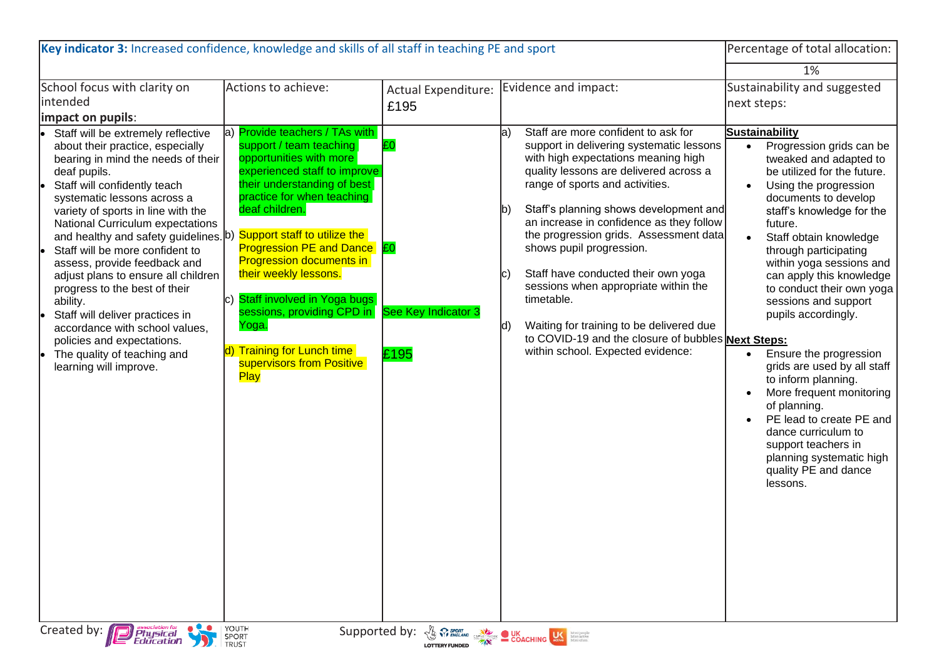| Key indicator 3: Increased confidence, knowledge and skills of all staff in teaching PE and sport                                                                                                                                                                                                                                                                                                                                                                                                                                                                                                                                 |                                                                                                                                                                                                                                                                                                                                                                                                                                                         |                                                                                                                                                                                                                                                                                                                     |                                                                                                                                                                                                                                                                                                                                                                                                                                                                                                                                                                                             | Percentage of total allocation:                                                                                                                                                                                                                                                                                                                                                                                                                                                                                                                                                                                                         |
|-----------------------------------------------------------------------------------------------------------------------------------------------------------------------------------------------------------------------------------------------------------------------------------------------------------------------------------------------------------------------------------------------------------------------------------------------------------------------------------------------------------------------------------------------------------------------------------------------------------------------------------|---------------------------------------------------------------------------------------------------------------------------------------------------------------------------------------------------------------------------------------------------------------------------------------------------------------------------------------------------------------------------------------------------------------------------------------------------------|---------------------------------------------------------------------------------------------------------------------------------------------------------------------------------------------------------------------------------------------------------------------------------------------------------------------|---------------------------------------------------------------------------------------------------------------------------------------------------------------------------------------------------------------------------------------------------------------------------------------------------------------------------------------------------------------------------------------------------------------------------------------------------------------------------------------------------------------------------------------------------------------------------------------------|-----------------------------------------------------------------------------------------------------------------------------------------------------------------------------------------------------------------------------------------------------------------------------------------------------------------------------------------------------------------------------------------------------------------------------------------------------------------------------------------------------------------------------------------------------------------------------------------------------------------------------------------|
|                                                                                                                                                                                                                                                                                                                                                                                                                                                                                                                                                                                                                                   |                                                                                                                                                                                                                                                                                                                                                                                                                                                         |                                                                                                                                                                                                                                                                                                                     |                                                                                                                                                                                                                                                                                                                                                                                                                                                                                                                                                                                             | 1%                                                                                                                                                                                                                                                                                                                                                                                                                                                                                                                                                                                                                                      |
| School focus with clarity on<br>intended<br>impact on pupils:                                                                                                                                                                                                                                                                                                                                                                                                                                                                                                                                                                     | Actions to achieve:<br>a) Provide teachers / TAs with                                                                                                                                                                                                                                                                                                                                                                                                   | Actual Expenditure:<br>£195                                                                                                                                                                                                                                                                                         | Evidence and impact:<br>Staff are more confident to ask for<br>la`                                                                                                                                                                                                                                                                                                                                                                                                                                                                                                                          | Sustainability and suggested<br>next steps:<br><b>Sustainability</b>                                                                                                                                                                                                                                                                                                                                                                                                                                                                                                                                                                    |
| Staff will be extremely reflective<br>about their practice, especially<br>bearing in mind the needs of their<br>deaf pupils.<br>Staff will confidently teach<br>systematic lessons across a<br>variety of sports in line with the<br>National Curriculum expectations<br>and healthy and safety guidelines. b)<br>Staff will be more confident to<br>assess, provide feedback and<br>adjust plans to ensure all children<br>progress to the best of their<br>ability.<br>Staff will deliver practices in<br>accordance with school values,<br>policies and expectations.<br>The quality of teaching and<br>learning will improve. | support / team teaching<br>opportunities with more<br>experienced staff to improve<br>their understanding of best<br>practice for when teaching<br>deaf children.<br>Support staff to utilize the<br><b>Progression PE and Dance E0</b><br><b>Progression documents in</b><br>their weekly lessons.<br>Staff involved in Yoga bugs<br>IC)<br>sessions, providing CPD in<br>Yoga.<br><b>Training for Lunch time</b><br>supervisors from Positive<br>Play | ЕO<br>See Key Indicator 3<br>£195                                                                                                                                                                                                                                                                                   | support in delivering systematic lessons<br>with high expectations meaning high<br>quality lessons are delivered across a<br>range of sports and activities.<br>Staff's planning shows development and<br>lb)<br>an increase in confidence as they follow<br>the progression grids. Assessment data<br>shows pupil progression.<br>Staff have conducted their own yoga<br>IC.<br>sessions when appropriate within the<br>timetable.<br>Waiting for training to be delivered due<br>$\mathsf{Id}$<br>to COVID-19 and the closure of bubbles Next Steps:<br>within school. Expected evidence: | Progression grids can be<br>tweaked and adapted to<br>be utilized for the future.<br>Using the progression<br>documents to develop<br>staff's knowledge for the<br>future.<br>Staff obtain knowledge<br>through participating<br>within yoga sessions and<br>can apply this knowledge<br>to conduct their own yoga<br>sessions and support<br>pupils accordingly.<br>Ensure the progression<br>grids are used by all staff<br>to inform planning.<br>More frequent monitoring<br>of planning.<br>PE lead to create PE and<br>dance curriculum to<br>support teachers in<br>planning systematic high<br>quality PE and dance<br>lessons. |
| Created by: <b>Physical</b><br>Education                                                                                                                                                                                                                                                                                                                                                                                                                                                                                                                                                                                          | YOUTH<br>SPORT<br>TRUST                                                                                                                                                                                                                                                                                                                                                                                                                                 | Supported by: $\frac{1}{3}$ $\frac{1}{3}$ $\frac{1}{3}$ $\frac{1}{3}$ $\frac{1}{3}$ $\frac{1}{3}$ $\frac{1}{3}$ $\frac{1}{3}$ $\frac{1}{3}$ $\frac{1}{3}$ $\frac{1}{3}$ $\frac{1}{3}$ $\frac{1}{3}$ $\frac{1}{3}$ $\frac{1}{3}$ $\frac{1}{3}$ $\frac{1}{3}$ $\frac{1}{3}$ $\frac{1}{3}$ $\frac{1}{3}$ $\frac{1}{3}$ |                                                                                                                                                                                                                                                                                                                                                                                                                                                                                                                                                                                             |                                                                                                                                                                                                                                                                                                                                                                                                                                                                                                                                                                                                                                         |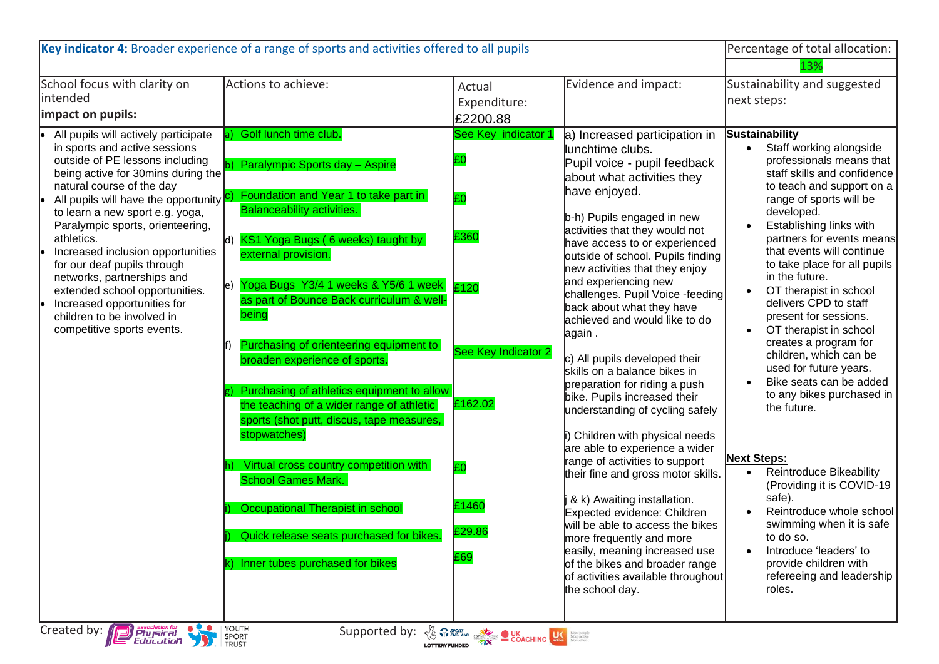| Key indicator 4: Broader experience of a range of sports and activities offered to all pupils                                                                                                                                                                                                                                                                                                                                                                                                                                              |                                                                                                                                                                                                                                                                                                                                                                                                                                                                                                                                   |                                                                                                            |                                                                                                                                                                                                                                                                                                                                                                                                                                                                                                                                                                                                                   | Percentage of total allocation:                                                                                                                                                                                                                                                                                                                                                                                                                                                                                                                                                                 |
|--------------------------------------------------------------------------------------------------------------------------------------------------------------------------------------------------------------------------------------------------------------------------------------------------------------------------------------------------------------------------------------------------------------------------------------------------------------------------------------------------------------------------------------------|-----------------------------------------------------------------------------------------------------------------------------------------------------------------------------------------------------------------------------------------------------------------------------------------------------------------------------------------------------------------------------------------------------------------------------------------------------------------------------------------------------------------------------------|------------------------------------------------------------------------------------------------------------|-------------------------------------------------------------------------------------------------------------------------------------------------------------------------------------------------------------------------------------------------------------------------------------------------------------------------------------------------------------------------------------------------------------------------------------------------------------------------------------------------------------------------------------------------------------------------------------------------------------------|-------------------------------------------------------------------------------------------------------------------------------------------------------------------------------------------------------------------------------------------------------------------------------------------------------------------------------------------------------------------------------------------------------------------------------------------------------------------------------------------------------------------------------------------------------------------------------------------------|
| School focus with clarity on<br>intended                                                                                                                                                                                                                                                                                                                                                                                                                                                                                                   | Actions to achieve:                                                                                                                                                                                                                                                                                                                                                                                                                                                                                                               | Actual<br>Expenditure:                                                                                     | Evidence and impact:                                                                                                                                                                                                                                                                                                                                                                                                                                                                                                                                                                                              | 13%<br>Sustainability and suggested<br>next steps:                                                                                                                                                                                                                                                                                                                                                                                                                                                                                                                                              |
| impact on pupils:                                                                                                                                                                                                                                                                                                                                                                                                                                                                                                                          |                                                                                                                                                                                                                                                                                                                                                                                                                                                                                                                                   | £2200.88                                                                                                   |                                                                                                                                                                                                                                                                                                                                                                                                                                                                                                                                                                                                                   |                                                                                                                                                                                                                                                                                                                                                                                                                                                                                                                                                                                                 |
| All pupils will actively participate<br>in sports and active sessions<br>outside of PE lessons including<br>being active for 30mins during the<br>natural course of the day<br>All pupils will have the opportunity C)<br>to learn a new sport e.g. yoga,<br>Paralympic sports, orienteering,<br>athletics.<br>Increased inclusion opportunities<br>for our deaf pupils through<br>networks, partnerships and<br>extended school opportunities.<br>Increased opportunities for<br>children to be involved in<br>competitive sports events. | Golf lunch time club.<br>Paralympic Sports day - Aspire<br>Foundation and Year 1 to take part in<br><b>Balanceability activities.</b><br>KS1 Yoga Bugs (6 weeks) taught by<br>ld)<br>external provision.<br>Yoga Bugs Y3/4 1 weeks & Y5/6 1 week<br>le)<br>as part of Bounce Back curriculum & well-<br>being<br>Purchasing of orienteering equipment to<br>broaden experience of sports.<br>Purchasing of athletics equipment to allow<br>the teaching of a wider range of athletic<br>sports (shot putt, discus, tape measures, | See Key indicator 1<br>ЮΟ<br>l£0<br>£360<br>£120<br>See Key Indicator 2<br>£162.02                         | a) Increased participation in<br>lunchtime clubs.<br>Pupil voice - pupil feedback<br>about what activities they<br>have enjoyed.<br>b-h) Pupils engaged in new<br>activities that they would not<br>have access to or experienced<br>outside of school. Pupils finding<br>new activities that they enjoy<br>and experiencing new<br>challenges. Pupil Voice -feeding<br>back about what they have<br>achieved and would like to do<br>again.<br>c) All pupils developed their<br>skills on a balance bikes in<br>preparation for riding a push<br>bike. Pupils increased their<br>understanding of cycling safely | <b>Sustainability</b><br>Staff working alongside<br>$\bullet$<br>professionals means that<br>staff skills and confidence<br>to teach and support on a<br>range of sports will be<br>developed.<br>Establishing links with<br>partners for events means<br>that events will continue<br>to take place for all pupils<br>in the future.<br>OT therapist in school<br>delivers CPD to staff<br>present for sessions.<br>OT therapist in school<br>creates a program for<br>children, which can be<br>used for future years.<br>Bike seats can be added<br>to any bikes purchased in<br>the future. |
|                                                                                                                                                                                                                                                                                                                                                                                                                                                                                                                                            | stopwatches)<br>Virtual cross country competition with<br><b>School Games Mark.</b><br><b>Occupational Therapist in school</b><br>Quick release seats purchased for bikes.<br>Inner tubes purchased for bikes                                                                                                                                                                                                                                                                                                                     | <b>£0</b><br>£1460<br>£29.86<br>£69                                                                        | i) Children with physical needs<br>are able to experience a wider<br>range of activities to support<br>their fine and gross motor skills.<br>& k) Awaiting installation.<br>Expected evidence: Children<br>will be able to access the bikes<br>more frequently and more<br>easily, meaning increased use<br>of the bikes and broader range<br>of activities available throughout<br>the school day.                                                                                                                                                                                                               | <b>Next Steps:</b><br><b>Reintroduce Bikeability</b><br>$\bullet$<br>(Providing it is COVID-19<br>safe).<br>Reintroduce whole school<br>swimming when it is safe<br>to do so.<br>Introduce 'leaders' to<br>provide children with<br>refereeing and leadership<br>roles.                                                                                                                                                                                                                                                                                                                         |
| $\bullet$ $\bullet$<br><b>P</b> Physical<br>Education<br>Created by:<br>SPORT                                                                                                                                                                                                                                                                                                                                                                                                                                                              | <b>YOUTH</b><br>Supported by:                                                                                                                                                                                                                                                                                                                                                                                                                                                                                                     | $\frac{1}{\sqrt{2}}\sum_{k}$ Sport and Construction DUK Distriction of the Magnetic COACHING $\frac{1}{2}$ |                                                                                                                                                                                                                                                                                                                                                                                                                                                                                                                                                                                                                   |                                                                                                                                                                                                                                                                                                                                                                                                                                                                                                                                                                                                 |